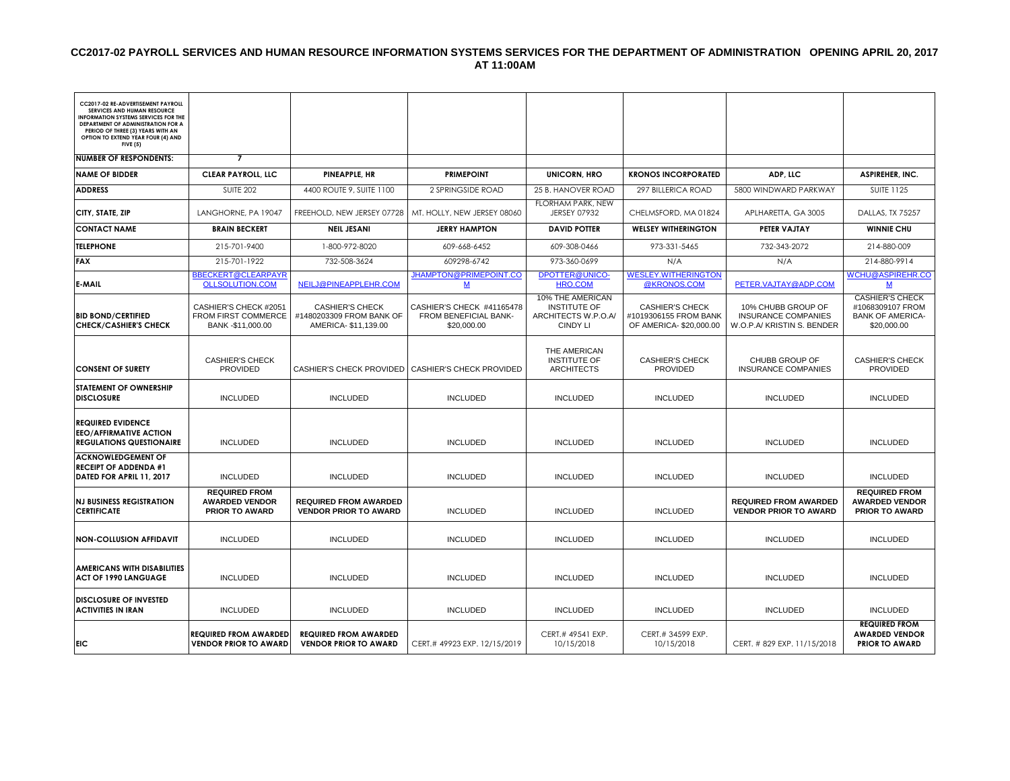#### **CC2017-02 PAYROLL SERVICES AND HUMAN RESOURCE INFORMATION SYSTEMS SERVICES FOR THE DEPARTMENT OF ADMINISTRATION OPENING APRIL 20, 2017 AT 11:00AM**

| CC2017-02 RE-ADVERTISEMENT PAYROLL<br><b>SERVICES AND HUMAN RESOURCE</b><br><b>INFORMATION SYSTEMS SERVICES FOR THE</b><br>DEPARTMENT OF ADMINISTRATION FOR A<br>PERIOD OF THREE (3) YEARS WITH AN<br>OPTION TO EXTEND YEAR FOUR (4) AND<br><b>FIVE (5)</b> |                                                                        |                                                                           |                                                                   |                                                                                   |                                                                           |                                                                                |                                                                                      |
|-------------------------------------------------------------------------------------------------------------------------------------------------------------------------------------------------------------------------------------------------------------|------------------------------------------------------------------------|---------------------------------------------------------------------------|-------------------------------------------------------------------|-----------------------------------------------------------------------------------|---------------------------------------------------------------------------|--------------------------------------------------------------------------------|--------------------------------------------------------------------------------------|
| <b>NUMBER OF RESPONDENTS:</b>                                                                                                                                                                                                                               | $\overline{7}$                                                         |                                                                           |                                                                   |                                                                                   |                                                                           |                                                                                |                                                                                      |
| <b>NAME OF BIDDER</b>                                                                                                                                                                                                                                       | <b>CLEAR PAYROLL, LLC</b>                                              | PINEAPPLE, HR                                                             | <b>PRIMEPOINT</b>                                                 | <b>UNICORN, HRO</b>                                                               | <b>KRONOS INCORPORATED</b>                                                | ADP, LLC                                                                       | <b>ASPIREHER, INC.</b>                                                               |
| <b>ADDRESS</b>                                                                                                                                                                                                                                              | <b>SUITE 202</b>                                                       | 4400 ROUTE 9, SUITE 1100                                                  | 2 SPRINGSIDE ROAD                                                 | 25 B. HANOVER ROAD                                                                | 297 BILLERICA ROAD                                                        | 5800 WINDWARD PARKWAY                                                          | <b>SUITE 1125</b>                                                                    |
| CITY, STATE, ZIP                                                                                                                                                                                                                                            | LANGHORNE, PA 19047                                                    | FREEHOLD, NEW JERSEY 07728                                                | MT. HOLLY, NEW JERSEY 08060                                       | FLORHAM PARK, NEW<br><b>JERSEY 07932</b>                                          | CHELMSFORD, MA 01824                                                      | APLHARETTA, GA 3005                                                            | <b>DALLAS, TX 75257</b>                                                              |
| <b>CONTACT NAME</b>                                                                                                                                                                                                                                         | <b>BRAIN BECKERT</b>                                                   | <b>NEIL JESANI</b>                                                        | <b>JERRY HAMPTON</b>                                              | <b>DAVID POTTER</b>                                                               | <b>WELSEY WITHERINGTON</b>                                                | <b>PETER VAJTAY</b>                                                            | <b>WINNIE CHU</b>                                                                    |
| <b>TELEPHONE</b>                                                                                                                                                                                                                                            | 215-701-9400                                                           | 1-800-972-8020                                                            | 609-668-6452                                                      | 609-308-0466                                                                      | 973-331-5465                                                              | 732-343-2072                                                                   | 214-880-009                                                                          |
| <b>FAX</b>                                                                                                                                                                                                                                                  | 215-701-1922                                                           | 732-508-3624                                                              | 609298-6742                                                       | 973-360-0699                                                                      | N/A                                                                       | N/A                                                                            | 214-880-9914                                                                         |
| <b>E-MAIL</b>                                                                                                                                                                                                                                               | <b>BBECKERT@CLEARPAYR</b><br><b>OLLSOLUTION.COM</b>                    | NEILJ@PINEAPPLEHR.COM                                                     | <b>JHAMPTON@PRIMEPOINT.CO</b><br>M                                | <b>DPOTTER@UNICO-</b><br><b>HRO.COM</b>                                           | <b>WESLEY.WITHERINGTON</b><br>@KRONOS.COM                                 | PETER.VAJTAY@ADP.COM                                                           | <b>WCHU@ASPIREHR.CO</b><br>М                                                         |
| <b>BID BOND/CERTIFIED</b><br><b>CHECK/CASHIER'S CHECK</b>                                                                                                                                                                                                   | CASHIER'S CHECK #2051<br>FROM FIRST COMMERCE<br>BANK -\$11,000.00      | <b>CASHIER'S CHECK</b><br>#1480203309 FROM BANK OF<br>AMERICA-\$11,139.00 | CASHIER'S CHECK #41165478<br>FROM BENEFICIAL BANK-<br>\$20,000.00 | 10% THE AMERICAN<br><b>INSTITUTE OF</b><br>ARCHITECTS W.P.O.A/<br><b>CINDY LI</b> | <b>CASHIER'S CHECK</b><br>#1019306155 FROM BANK<br>OF AMERICA-\$20,000.00 | 10% CHUBB GROUP OF<br><b>INSURANCE COMPANIES</b><br>W.O.P.A/ KRISTIN S. BENDER | <b>CASHIER'S CHECK</b><br>#1068309107 FROM<br><b>BANK OF AMERICA-</b><br>\$20,000.00 |
| <b>CONSENT OF SURETY</b>                                                                                                                                                                                                                                    | <b>CASHIER'S CHECK</b><br><b>PROVIDED</b>                              | <b>CASHIER'S CHECK PROVIDED</b>                                           | <b>CASHIER'S CHECK PROVIDED</b>                                   | THE AMERICAN<br><b>INSTITUTE OF</b><br><b>ARCHITECTS</b>                          | <b>CASHIER'S CHECK</b><br><b>PROVIDED</b>                                 | CHUBB GROUP OF<br><b>INSURANCE COMPANIES</b>                                   | <b>CASHIER'S CHECK</b><br><b>PROVIDED</b>                                            |
| <b>STATEMENT OF OWNERSHIP</b><br><b>DISCLOSURE</b>                                                                                                                                                                                                          | <b>INCLUDED</b>                                                        | <b>INCLUDED</b>                                                           | <b>INCLUDED</b>                                                   | <b>INCLUDED</b>                                                                   | <b>INCLUDED</b>                                                           | <b>INCLUDED</b>                                                                | <b>INCLUDED</b>                                                                      |
| <b>REQUIRED EVIDENCE</b><br><b>EEO/AFFIRMATIVE ACTION</b><br><b>REGULATIONS QUESTIONAIRE</b>                                                                                                                                                                | <b>INCLUDED</b>                                                        | <b>INCLUDED</b>                                                           | <b>INCLUDED</b>                                                   | <b>INCLUDED</b>                                                                   | <b>INCLUDED</b>                                                           | <b>INCLUDED</b>                                                                | <b>INCLUDED</b>                                                                      |
| <b>ACKNOWLEDGEMENT OF</b><br><b>RECEIPT OF ADDENDA #1</b><br>DATED FOR APRIL 11, 2017                                                                                                                                                                       | <b>INCLUDED</b>                                                        | <b>INCLUDED</b>                                                           | <b>INCLUDED</b>                                                   | <b>INCLUDED</b>                                                                   | <b>INCLUDED</b>                                                           | <b>INCLUDED</b>                                                                | <b>INCLUDED</b>                                                                      |
| <b>NJ BUSINESS REGISTRATION</b><br><b>CERTIFICATE</b>                                                                                                                                                                                                       | <b>REQUIRED FROM</b><br><b>AWARDED VENDOR</b><br><b>PRIOR TO AWARD</b> | <b>REQUIRED FROM AWARDED</b><br><b>VENDOR PRIOR TO AWARD</b>              | <b>INCLUDED</b>                                                   | <b>INCLUDED</b>                                                                   | <b>INCLUDED</b>                                                           | <b>REQUIRED FROM AWARDED</b><br><b>VENDOR PRIOR TO AWARD</b>                   | <b>REQUIRED FROM</b><br><b>AWARDED VENDOR</b><br><b>PRIOR TO AWARD</b>               |
| <b>NON-COLLUSION AFFIDAVIT</b>                                                                                                                                                                                                                              | <b>INCLUDED</b>                                                        | <b>INCLUDED</b>                                                           | <b>INCLUDED</b>                                                   | <b>INCLUDED</b>                                                                   | <b>INCLUDED</b>                                                           | <b>INCLUDED</b>                                                                | <b>INCLUDED</b>                                                                      |
| <b>AMERICANS WITH DISABILITIES</b><br><b>ACT OF 1990 LANGUAGE</b>                                                                                                                                                                                           | <b>INCLUDED</b>                                                        | <b>INCLUDED</b>                                                           | <b>INCLUDED</b>                                                   | <b>INCLUDED</b>                                                                   | <b>INCLUDED</b>                                                           | <b>INCLUDED</b>                                                                | <b>INCLUDED</b>                                                                      |
| <b>DISCLOSURE OF INVESTED</b><br><b>ACTIVITIES IN IRAN</b>                                                                                                                                                                                                  | <b>INCLUDED</b>                                                        | <b>INCLUDED</b>                                                           | <b>INCLUDED</b>                                                   | <b>INCLUDED</b>                                                                   | <b>INCLUDED</b>                                                           | <b>INCLUDED</b>                                                                | <b>INCLUDED</b>                                                                      |
| <b>EIC</b>                                                                                                                                                                                                                                                  | <b>REQUIRED FROM AWARDED</b><br><b>VENDOR PRIOR TO AWARD</b>           | <b>REQUIRED FROM AWARDED</b><br><b>VENDOR PRIOR TO AWARD</b>              | CERT.# 49923 EXP. 12/15/2019                                      | CERT.# 49541 EXP.<br>10/15/2018                                                   | CERT.# 34599 EXP.<br>10/15/2018                                           | CERT. #829 EXP. 11/15/2018                                                     | <b>REQUIRED FROM</b><br><b>AWARDED VENDOR</b><br><b>PRIOR TO AWARD</b>               |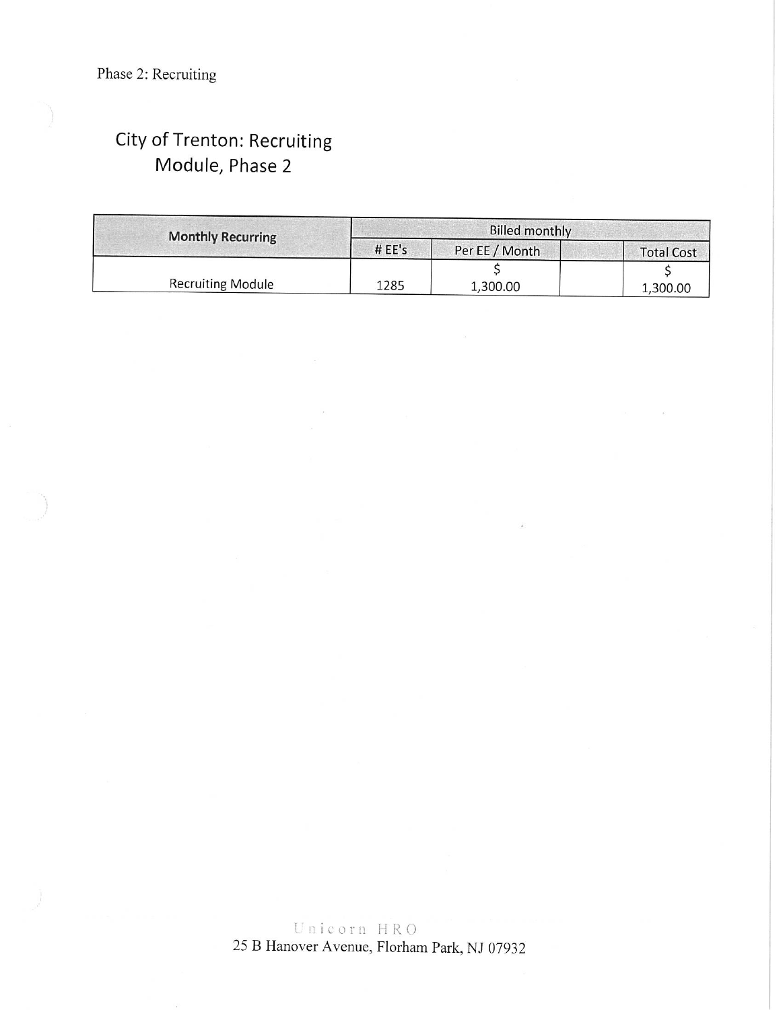# City of Trenton: Recruiting Module, Phase 2

| <b>Monthly Recurring</b> | Billed monthly |                |                   |  |  |
|--------------------------|----------------|----------------|-------------------|--|--|
|                          | #EE's          | Per EE / Month | <b>Total Cost</b> |  |  |
|                          |                |                |                   |  |  |
| <b>Recruiting Module</b> | 1285           | 1,300.00       | 1,300.00          |  |  |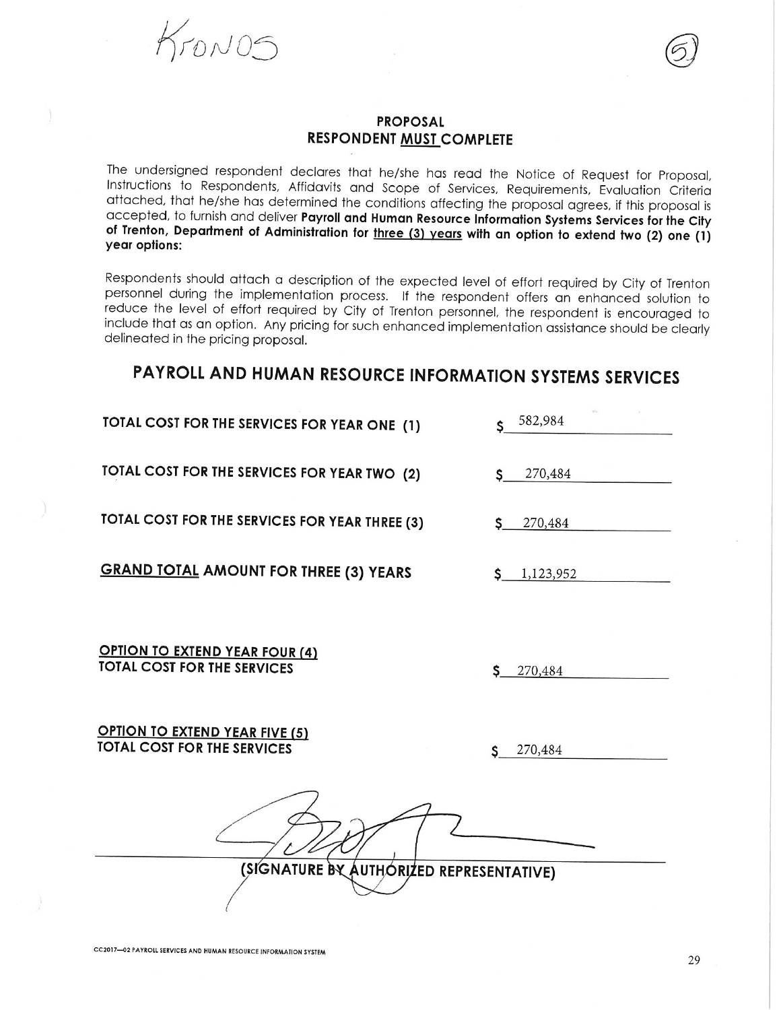KrONOS

#### **PROPOSAL RESPONDENT MUST COMPLETE**

The undersigned respondent declares that he/she has read the Notice of Request for Proposal, Instructions to Respondents, Affidavits and Scope of Services, Requirements, Evaluation Criteria attached, that he/she has determined the conditions affecting the proposal agrees, if this proposal is accepted, to furnish and deliver Payroll and Human Resource Information Systems Services for the City of Trenton, Department of Administration for three (3) years with an option to extend two (2) one (1) year options:

Respondents should attach a description of the expected level of effort required by City of Trenton personnel during the implementation process. If the respondent offers an enhanced solution to reduce the level of effort required by City of Trenton personnel, the respondent is encouraged to include that as an option. Any pricing for such enhanced implementation assistance should be clearly delineated in the pricing proposal.

# PAYROLL AND HUMAN RESOURCE INFORMATION SYSTEMS SERVICES

TOTAL COST FOR THE SERVICES FOR YEAR ONE (1)

TOTAL COST FOR THE SERVICES FOR YEAR TWO (2)

TOTAL COST FOR THE SERVICES FOR YEAR THREE (3)

**GRAND TOTAL AMOUNT FOR THREE (3) YEARS** 

**OPTION TO EXTEND YEAR FOUR (4) TOTAL COST FOR THE SERVICES** 

| 270,484 |  |
|---------|--|

**OPTION TO EXTEND YEAR FIVE (5) TOTAL COST FOR THE SERVICES** 

270,484

582,984

270,484

270,484

 $\frac{1}{1,123,952}$ 

S

(SIGNATURE BY AUTHORIZED REPRESENTATIVE)

CC2017-02 PAYROLL SERVICES AND HUMAN RESOURCE INFORMATION SYSTEM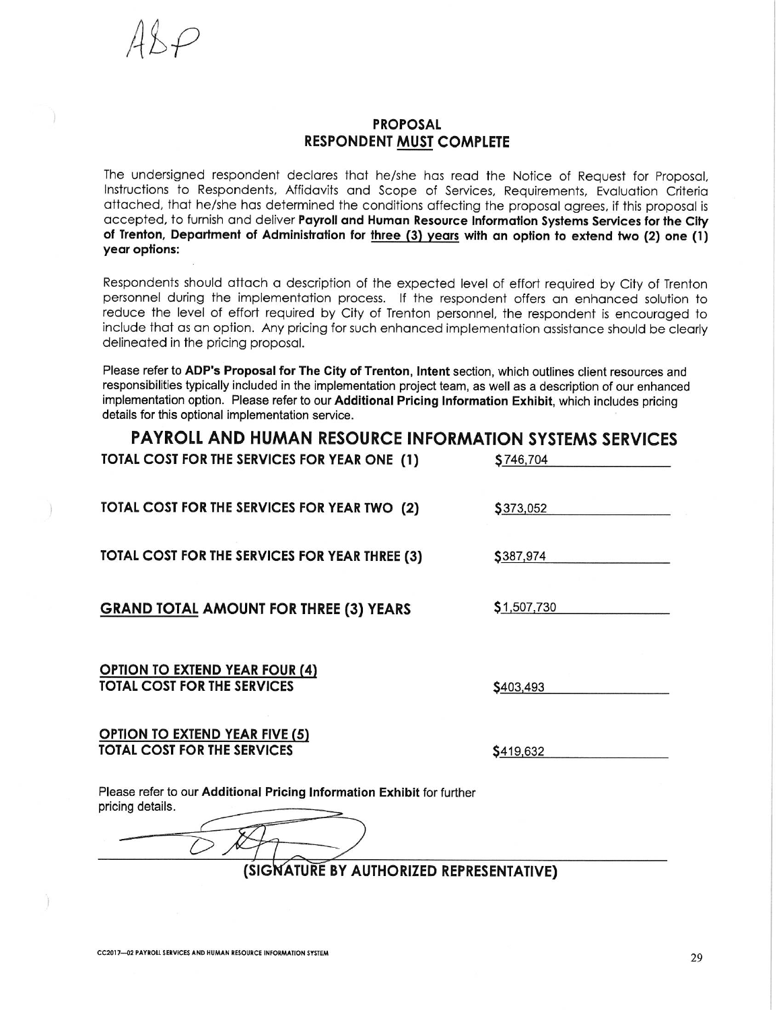

### **PROPOSAL RESPONDENT MUST COMPLETE**

The undersigned respondent declares that he/she has read the Notice of Request for Proposal, Instructions to Respondents, Affidavits and Scope of Services, Requirements, Evaluation Criteria attached, that he/she has determined the conditions affecting the proposal agrees, if this proposal is accepted, to furnish and deliver Payroll and Human Resource Information Systems Services for the City of Trenton, Department of Administration for three (3) years with an option to extend two (2) one (1) year options:

Respondents should attach a description of the expected level of effort required by City of Trenton personnel during the implementation process. If the respondent offers an enhanced solution to reduce the level of effort required by City of Trenton personnel, the respondent is encouraged to include that as an option. Any pricing for such enhanced implementation assistance should be clearly delineated in the pricing proposal.

Please refer to ADP's Proposal for The City of Trenton, Intent section, which outlines client resources and responsibilities typically included in the implementation project team, as well as a description of our enhanced implementation option. Please refer to our Additional Pricing Information Exhibit, which includes pricing details for this optional implementation service.

| <b>PAYROLL AND HUMAN RESOURCE INFORMATION SYSTEMS SERVICES</b><br>\$746,704 |
|-----------------------------------------------------------------------------|
| \$373,052                                                                   |
| \$387,974                                                                   |
| \$1,507,730                                                                 |
| \$403,493                                                                   |
| \$419,632                                                                   |
| (SIGNATURE BY AUTHORIZED REPRESENTATIVE)                                    |
|                                                                             |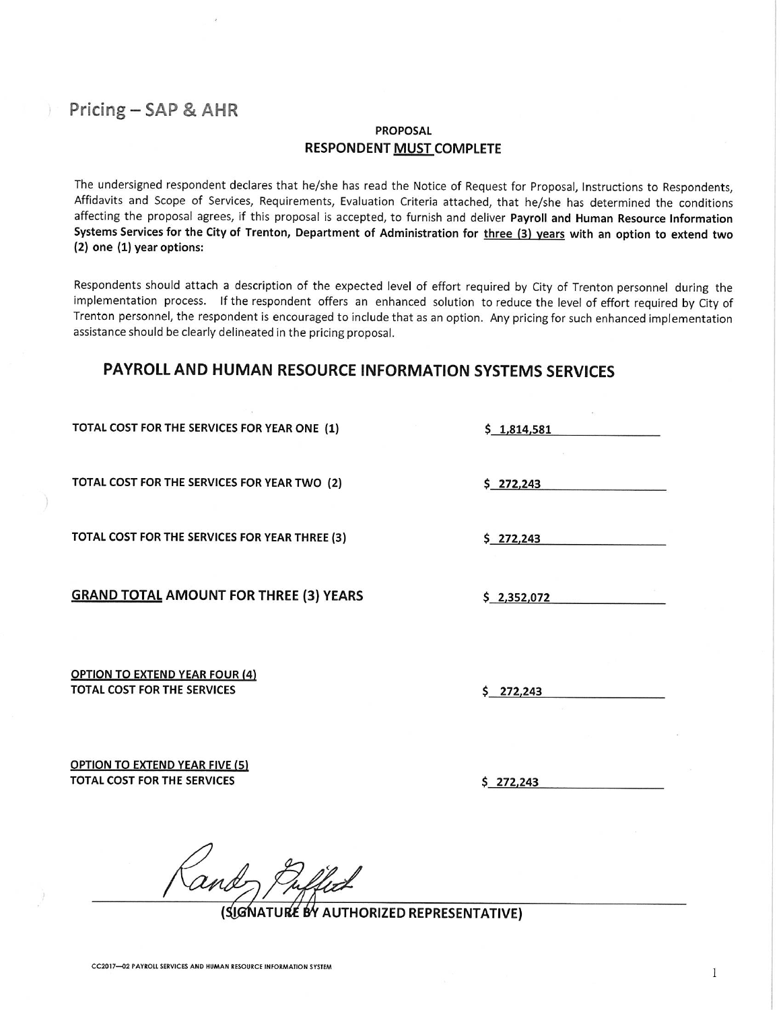## Pricing - SAP & AHR

#### **PROPOSAL RESPONDENT MUST COMPLETE**

The undersigned respondent declares that he/she has read the Notice of Request for Proposal, Instructions to Respondents, Affidavits and Scope of Services, Requirements, Evaluation Criteria attached, that he/she has determined the conditions affecting the proposal agrees, if this proposal is accepted, to furnish and deliver Payroll and Human Resource Information Systems Services for the City of Trenton, Department of Administration for three (3) years with an option to extend two (2) one (1) year options:

Respondents should attach a description of the expected level of effort required by City of Trenton personnel during the implementation process. If the respondent offers an enhanced solution to reduce the level of effort required by City of Trenton personnel, the respondent is encouraged to include that as an option. Any pricing for such enhanced implementation assistance should be clearly delineated in the pricing proposal.

### **PAYROLL AND HUMAN RESOURCE INFORMATION SYSTEMS SERVICES**

TOTAL COST FOR THE SERVICES FOR YEAR ONE (1)

TOTAL COST FOR THE SERVICES FOR YEAR TWO (2)

TOTAL COST FOR THE SERVICES FOR YEAR THREE (3)

**GRAND TOTAL AMOUNT FOR THREE (3) YEARS** 

**OPTION TO EXTEND YEAR FOUR (4) TOTAL COST FOR THE SERVICES** 

 $$272,243$ 

 $$1,814,581$ 

 $$272,243$ 

 $$2,352,072$ 

 $5$  272.243

 $$272.243$ 

**OPTION TO EXTEND YEAR FIVE (5)** TOTAL COST FOR THE SERVICES

(SIGNATURÉ BY AUTHORIZED REPRESENTATIVE)

 $\mathbf{1}$